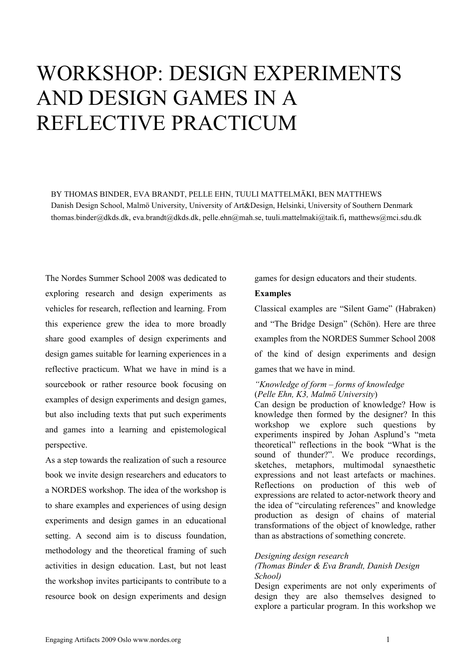# WORKSHOP: DESIGN EXPERIMENTS AND DESIGN GAMES IN A REFLECTIVE PRACTICUM

BY THOMAS BINDER, EVA BRANDT, PELLE EHN, TUULI MATTELMÄKI, BEN MATTHEWS Danish Design School, Malmö University, University of Art&Design, Helsinki, University of Southern Denmark thomas.binder@dkds.dk, eva.brandt@dkds.dk, pelle.ehn@mah.se, tuuli.mattelmaki@taik.fi, matthews@mci.sdu.dk

The Nordes Summer School 2008 was dedicated to exploring research and design experiments as vehicles for research, reflection and learning. From this experience grew the idea to more broadly share good examples of design experiments and design games suitable for learning experiences in a reflective practicum. What we have in mind is a sourcebook or rather resource book focusing on examples of design experiments and design games, but also including texts that put such experiments and games into a learning and epistemological perspective.

As a step towards the realization of such a resource book we invite design researchers and educators to a NORDES workshop. The idea of the workshop is to share examples and experiences of using design experiments and design games in an educational setting. A second aim is to discuss foundation, methodology and the theoretical framing of such activities in design education. Last, but not least the workshop invites participants to contribute to a resource book on design experiments and design games for design educators and their students.

## **Examples**

Classical examples are "Silent Game" (Habraken) and "The Bridge Design" (Schön). Here are three examples from the NORDES Summer School 2008 of the kind of design experiments and design games that we have in mind.

## *"Knowledge of form – forms of knowledge*  (*Pelle Ehn, K3, Malmö University*)

Can design be production of knowledge? How is knowledge then formed by the designer? In this workshop we explore such questions by experiments inspired by Johan Asplund's "meta theoretical" reflections in the book "What is the sound of thunder?". We produce recordings, sketches, metaphors, multimodal synaesthetic expressions and not least artefacts or machines. Reflections on production of this web of expressions are related to actor-network theory and the idea of "circulating references" and knowledge production as design of chains of material transformations of the object of knowledge, rather than as abstractions of something concrete.

### *Designing design research*

### *(Thomas Binder & Eva Brandt, Danish Design School)*

Design experiments are not only experiments of design they are also themselves designed to explore a particular program. In this workshop we